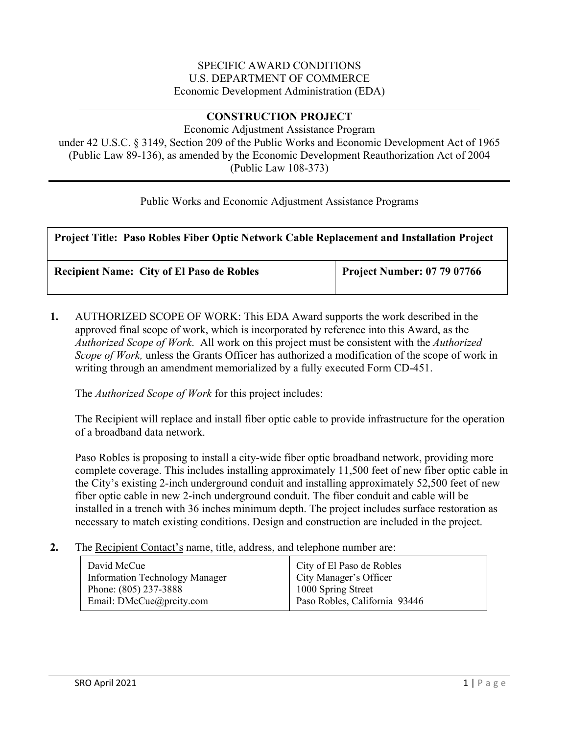#### SPECIFIC AWARD CONDITIONS U.S. DEPARTMENT OF COMMERCE Economic Development Administration (EDA)

### **CONSTRUCTION PROJECT**

Economic Adjustment Assistance Program under 42 U.S.C. § 3149, Section 209 of the Public Works and Economic Development Act of 1965 (Public Law 89-136), as amended by the Economic Development Reauthorization Act of 2004 (Public Law 108-373)

Public Works and Economic Adjustment Assistance Programs

#### **Project Title: Paso Robles Fiber Optic Network Cable Replacement and Installation Project**

**Recipient Name: City of El Paso de Robles Project Number: 07 79 07766** 

**1.** AUTHORIZED SCOPE OF WORK: This EDA Award supports the work described in the approved final scope of work, which is incorporated by reference into this Award, as the *Authorized Scope of Work*. All work on this project must be consistent with the *Authorized Scope of Work*, unless the Grants Officer has authorized a modification of the scope of work in writing through an amendment memorialized by a fully executed Form CD-451.

The *Authorized Scope of Work* for this project includes:

The Recipient will replace and install fiber optic cable to provide infrastructure for the operation of a broadband data network.

Paso Robles is proposing to install a city-wide fiber optic broadband network, providing more complete coverage. This includes installing approximately 11,500 feet of new fiber optic cable in the City's existing 2-inch underground conduit and installing approximately 52,500 feet of new fiber optic cable in new 2-inch underground conduit. The fiber conduit and cable will be installed in a trench with 36 inches minimum depth. The project includes surface restoration as necessary to match existing conditions. Design and construction are included in the project.

#### **2.** The Recipient Contact's name, title, address, and telephone number are:

| David McCue                           | City of El Paso de Robles     |
|---------------------------------------|-------------------------------|
| <b>Information Technology Manager</b> | City Manager's Officer        |
| Phone: (805) 237-3888                 | 1000 Spring Street            |
| Email: DMcCue@prcity.com              | Paso Robles, California 93446 |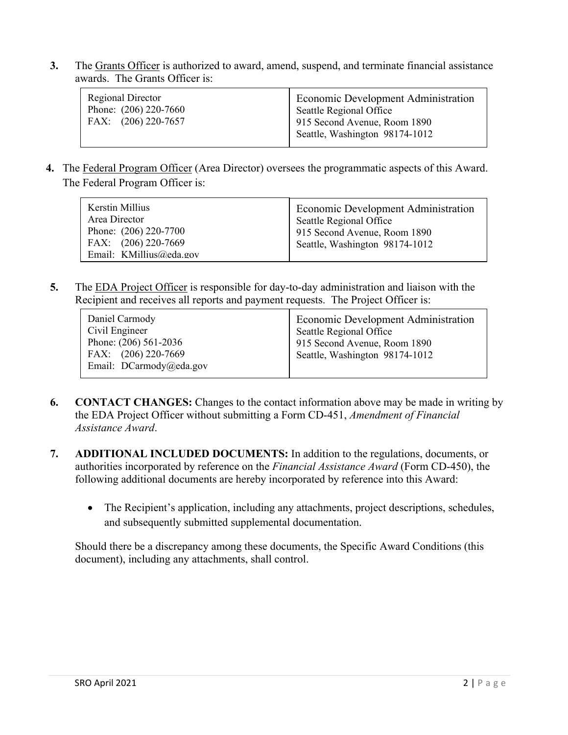**3.** The Grants Officer is authorized to award, amend, suspend, and terminate financial assistance awards. The Grants Officer is:

| Regional Director<br>Phone: (206) 220-7660<br>FAX: $(206)$ 220-7657 | <b>Economic Development Administration</b><br>Seattle Regional Office<br>915 Second Avenue, Room 1890<br>Seattle, Washington 98174-1012 |
|---------------------------------------------------------------------|-----------------------------------------------------------------------------------------------------------------------------------------|
|                                                                     |                                                                                                                                         |

**4.** The Federal Program Officer (Area Director) oversees the programmatic aspects of this Award. The Federal Program Officer is:

| Kerstin Millius<br>Area Director<br>Phone: (206) 220-7700<br>FAX: $(206)$ 220-7669<br>Email: KMillius@eda.gov | <b>Economic Development Administration</b><br>Seattle Regional Office<br>915 Second Avenue, Room 1890<br>Seattle, Washington 98174-1012 |
|---------------------------------------------------------------------------------------------------------------|-----------------------------------------------------------------------------------------------------------------------------------------|
|---------------------------------------------------------------------------------------------------------------|-----------------------------------------------------------------------------------------------------------------------------------------|

**5.** The EDA Project Officer is responsible for day-to-day administration and liaison with the Recipient and receives all reports and payment requests. The Project Officer is:

| Daniel Carmody                                   | Economic Development Administration |
|--------------------------------------------------|-------------------------------------|
| Civil Engineer                                   | Seattle Regional Office             |
| Phone: $(206)$ 561-2036                          | 915 Second Avenue, Room 1890        |
| FAX: $(206)$ 220-7669<br>Email: DCarmody@eda.gov | Seattle, Washington 98174-1012      |

- **6. CONTACT CHANGES:** Changes to the contact information above may be made in writing by the EDA Project Officer without submitting a Form CD-451, *Amendment of Financial Assistance Award*.
- **7. ADDITIONAL INCLUDED DOCUMENTS:** In addition to the regulations, documents, or authorities incorporated by reference on the *Financial Assistance Award* (Form CD-450), the following additional documents are hereby incorporated by reference into this Award:
	- The Recipient's application, including any attachments, project descriptions, schedules, and subsequently submitted supplemental documentation.

Should there be a discrepancy among these documents, the Specific Award Conditions (this document), including any attachments, shall control.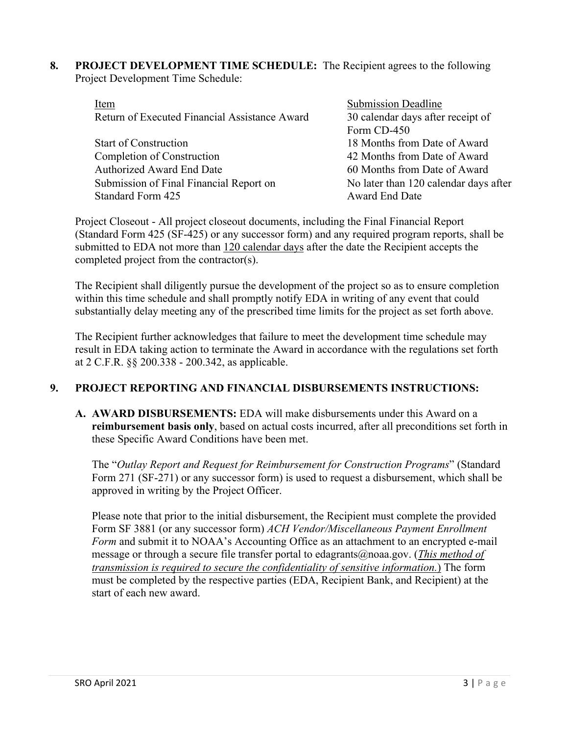**8. PROJECT DEVELOPMENT TIME SCHEDULE:** The Recipient agrees to the following Project Development Time Schedule:

| Item                                          | <b>Submission Deadline</b>            |  |
|-----------------------------------------------|---------------------------------------|--|
| Return of Executed Financial Assistance Award | 30 calendar days after receipt of     |  |
|                                               | Form CD-450                           |  |
| <b>Start of Construction</b>                  | 18 Months from Date of Award          |  |
| Completion of Construction                    | 42 Months from Date of Award          |  |
| <b>Authorized Award End Date</b>              | 60 Months from Date of Award          |  |
| Submission of Final Financial Report on       | No later than 120 calendar days after |  |
| <b>Standard Form 425</b>                      | <b>Award End Date</b>                 |  |
|                                               |                                       |  |

Project Closeout - All project closeout documents, including the Final Financial Report (Standard Form 425 (SF-425) or any successor form) and any required program reports, shall be submitted to EDA not more than 120 calendar days after the date the Recipient accepts the completed project from the contractor(s).

The Recipient shall diligently pursue the development of the project so as to ensure completion within this time schedule and shall promptly notify EDA in writing of any event that could substantially delay meeting any of the prescribed time limits for the project as set forth above.

The Recipient further acknowledges that failure to meet the development time schedule may result in EDA taking action to terminate the Award in accordance with the regulations set forth at 2 C.F.R. §§ 200.338 - 200.342, as applicable.

# **9. PROJECT REPORTING AND FINANCIAL DISBURSEMENTS INSTRUCTIONS:**

**A. AWARD DISBURSEMENTS:** EDA will make disbursements under this Award on a **reimbursement basis only**, based on actual costs incurred, after all preconditions set forth in these Specific Award Conditions have been met.

The "*Outlay Report and Request for Reimbursement for Construction Programs*" (Standard Form 271 (SF-271) or any successor form) is used to request a disbursement, which shall be approved in writing by the Project Officer.

Please note that prior to the initial disbursement, the Recipient must complete the provided Form SF 3881 (or any successor form) *ACH Vendor/Miscellaneous Payment Enrollment Form* and submit it to NOAA's Accounting Office as an attachment to an encrypted e-mail message or through a secure file transfer portal to edagrants@noaa.gov. (*This method of transmission is required to secure the confidentiality of sensitive information.*) The form must be completed by the respective parties (EDA, Recipient Bank, and Recipient) at the start of each new award.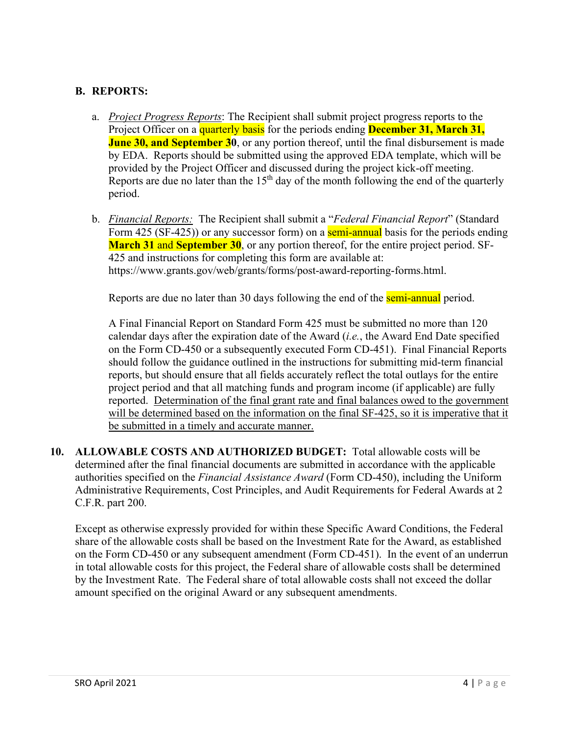## **B. REPORTS:**

- a. *Project Progress Reports*: The Recipient shall submit project progress reports to the Project Officer on a quarterly basis for the periods ending **December 31, March 31, June 30, and September 30**, or any portion thereof, until the final disbursement is made by EDA. Reports should be submitted using the approved EDA template, which will be provided by the Project Officer and discussed during the project kick-off meeting. Reports are due no later than the  $15<sup>th</sup>$  day of the month following the end of the quarterly period.
- b. *Financial Reports:* The Recipient shall submit a "*Federal Financial Report*" (Standard Form 425 (SF-425)) or any successor form) on a **semi-annual** basis for the periods ending **March 31** and **September 30**, or any portion thereof, for the entire project period. SF-425 and instructions for completing this form are available at: https://www.grants.gov/web/grants/forms/post-award-reporting-forms.html.

Reports are due no later than 30 days following the end of the **semi-annual** period.

A Final Financial Report on Standard Form 425 must be submitted no more than 120 calendar days after the expiration date of the Award (*i.e.*, the Award End Date specified on the Form CD-450 or a subsequently executed Form CD-451). Final Financial Reports should follow the guidance outlined in the instructions for submitting mid-term financial reports, but should ensure that all fields accurately reflect the total outlays for the entire project period and that all matching funds and program income (if applicable) are fully reported. Determination of the final grant rate and final balances owed to the government will be determined based on the information on the final SF-425, so it is imperative that it be submitted in a timely and accurate manner.

**10. ALLOWABLE COSTS AND AUTHORIZED BUDGET:** Total allowable costs will be determined after the final financial documents are submitted in accordance with the applicable authorities specified on the *Financial Assistance Award* (Form CD-450), including the Uniform Administrative Requirements, Cost Principles, and Audit Requirements for Federal Awards at 2 C.F.R. part 200.

Except as otherwise expressly provided for within these Specific Award Conditions, the Federal share of the allowable costs shall be based on the Investment Rate for the Award, as established on the Form CD-450 or any subsequent amendment (Form CD-451). In the event of an underrun in total allowable costs for this project, the Federal share of allowable costs shall be determined by the Investment Rate. The Federal share of total allowable costs shall not exceed the dollar amount specified on the original Award or any subsequent amendments.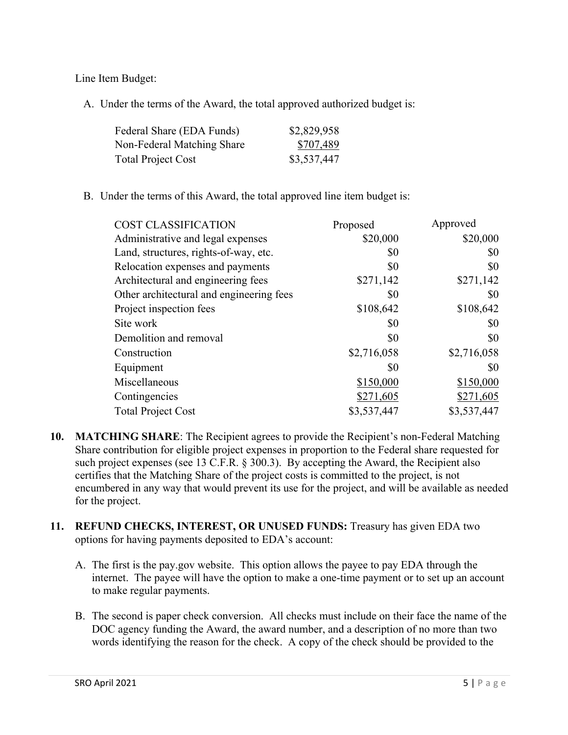Line Item Budget:

A. Under the terms of the Award, the total approved authorized budget is:

| Federal Share (EDA Funds)  | \$2,829,958 |
|----------------------------|-------------|
| Non-Federal Matching Share | \$707,489   |
| <b>Total Project Cost</b>  | \$3,537,447 |

B. Under the terms of this Award, the total approved line item budget is:

| <b>COST CLASSIFICATION</b>               | Proposed    | Approved    |
|------------------------------------------|-------------|-------------|
| Administrative and legal expenses        | \$20,000    | \$20,000    |
| Land, structures, rights-of-way, etc.    | \$0         | \$0         |
| Relocation expenses and payments         | \$0         | \$0         |
| Architectural and engineering fees       | \$271,142   | \$271,142   |
| Other architectural and engineering fees | \$0         | \$0         |
| Project inspection fees                  | \$108,642   | \$108,642   |
| Site work                                | \$0         | \$0         |
| Demolition and removal                   | \$0         | \$0         |
| Construction                             | \$2,716,058 | \$2,716,058 |
| Equipment                                | \$0         | \$0         |
| Miscellaneous                            | \$150,000   | \$150,000   |
| Contingencies                            | \$271,605   | \$271,605   |
| <b>Total Project Cost</b>                | \$3,537,447 | \$3,537,447 |

- **10. MATCHING SHARE**: The Recipient agrees to provide the Recipient's non-Federal Matching Share contribution for eligible project expenses in proportion to the Federal share requested for such project expenses (see 13 C.F.R. § 300.3). By accepting the Award, the Recipient also certifies that the Matching Share of the project costs is committed to the project, is not encumbered in any way that would prevent its use for the project, and will be available as needed for the project.
- **11. REFUND CHECKS, INTEREST, OR UNUSED FUNDS:** Treasury has given EDA two options for having payments deposited to EDA's account:
	- A. The first is the pay.gov website. This option allows the payee to pay EDA through the internet. The payee will have the option to make a one-time payment or to set up an account to make regular payments.
	- B. The second is paper check conversion. All checks must include on their face the name of the DOC agency funding the Award, the award number, and a description of no more than two words identifying the reason for the check. A copy of the check should be provided to the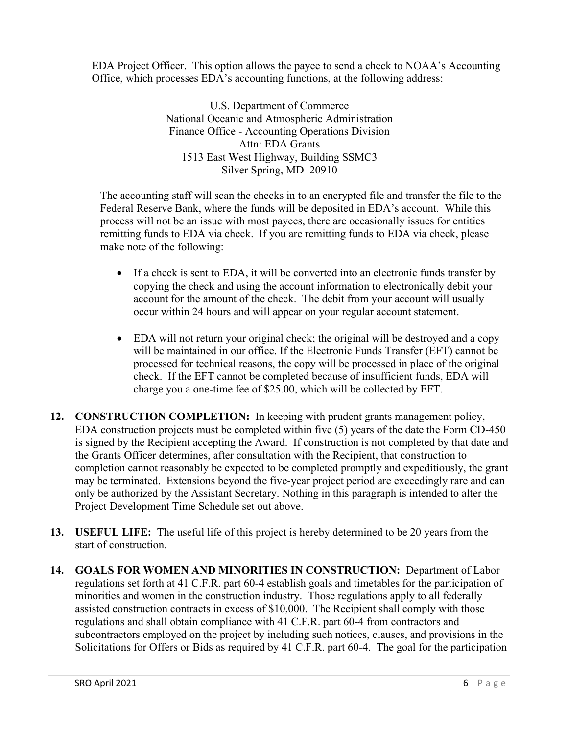EDA Project Officer. This option allows the payee to send a check to NOAA's Accounting Office, which processes EDA's accounting functions, at the following address:

> U.S. Department of Commerce National Oceanic and Atmospheric Administration Finance Office - Accounting Operations Division Attn: EDA Grants 1513 East West Highway, Building SSMC3 Silver Spring, MD 20910

The accounting staff will scan the checks in to an encrypted file and transfer the file to the Federal Reserve Bank, where the funds will be deposited in EDA's account. While this process will not be an issue with most payees, there are occasionally issues for entities remitting funds to EDA via check. If you are remitting funds to EDA via check, please make note of the following:

- If a check is sent to EDA, it will be converted into an electronic funds transfer by copying the check and using the account information to electronically debit your account for the amount of the check. The debit from your account will usually occur within 24 hours and will appear on your regular account statement.
- EDA will not return your original check; the original will be destroyed and a copy will be maintained in our office. If the Electronic Funds Transfer (EFT) cannot be processed for technical reasons, the copy will be processed in place of the original check. If the EFT cannot be completed because of insufficient funds, EDA will charge you a one-time fee of \$25.00, which will be collected by EFT.
- **12. CONSTRUCTION COMPLETION:** In keeping with prudent grants management policy, EDA construction projects must be completed within five (5) years of the date the Form CD-450 is signed by the Recipient accepting the Award. If construction is not completed by that date and the Grants Officer determines, after consultation with the Recipient, that construction to completion cannot reasonably be expected to be completed promptly and expeditiously, the grant may be terminated. Extensions beyond the five-year project period are exceedingly rare and can only be authorized by the Assistant Secretary. Nothing in this paragraph is intended to alter the Project Development Time Schedule set out above.
- **13. USEFUL LIFE:** The useful life of this project is hereby determined to be 20 years from the start of construction.
- **14. GOALS FOR WOMEN AND MINORITIES IN CONSTRUCTION:** Department of Labor regulations set forth at 41 C.F.R. part 60-4 establish goals and timetables for the participation of minorities and women in the construction industry. Those regulations apply to all federally assisted construction contracts in excess of \$10,000. The Recipient shall comply with those regulations and shall obtain compliance with 41 C.F.R. part 60-4 from contractors and subcontractors employed on the project by including such notices, clauses, and provisions in the Solicitations for Offers or Bids as required by 41 C.F.R. part 60-4. The goal for the participation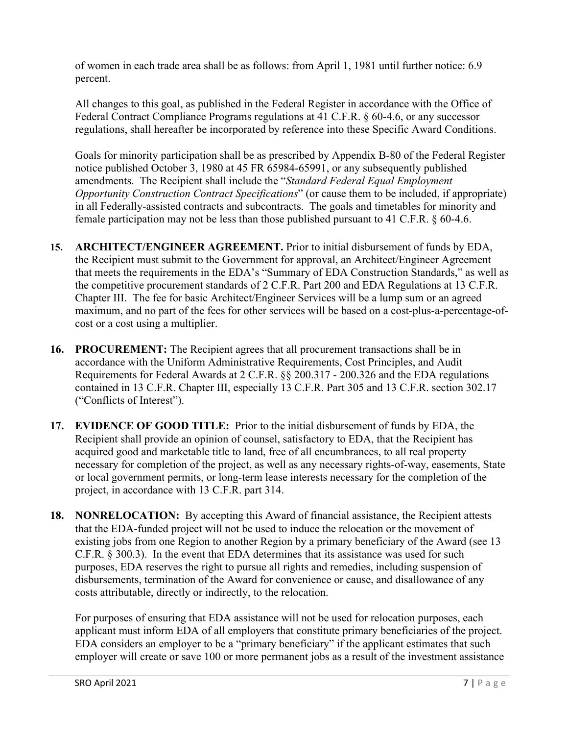of women in each trade area shall be as follows: from April 1, 1981 until further notice: 6.9 percent.

All changes to this goal, as published in the Federal Register in accordance with the Office of Federal Contract Compliance Programs regulations at 41 C.F.R. § 60-4.6, or any successor regulations, shall hereafter be incorporated by reference into these Specific Award Conditions.

Goals for minority participation shall be as prescribed by Appendix B-80 of the Federal Register notice published October 3, 1980 at 45 FR 65984-65991, or any subsequently published amendments. The Recipient shall include the "*Standard Federal Equal Employment Opportunity Construction Contract Specifications*" (or cause them to be included, if appropriate) in all Federally-assisted contracts and subcontracts. The goals and timetables for minority and female participation may not be less than those published pursuant to 41 C.F.R. § 60-4.6.

- **15. ARCHITECT/ENGINEER AGREEMENT.** Prior to initial disbursement of funds by EDA, the Recipient must submit to the Government for approval, an Architect/Engineer Agreement that meets the requirements in the EDA's "Summary of EDA Construction Standards," as well as the competitive procurement standards of 2 C.F.R. Part 200 and EDA Regulations at 13 C.F.R. Chapter III. The fee for basic Architect/Engineer Services will be a lump sum or an agreed maximum, and no part of the fees for other services will be based on a cost-plus-a-percentage-ofcost or a cost using a multiplier.
- **16. PROCUREMENT:** The Recipient agrees that all procurement transactions shall be in accordance with the Uniform Administrative Requirements, Cost Principles, and Audit Requirements for Federal Awards at 2 C.F.R. §§ 200.317 - 200.326 and the EDA regulations contained in 13 C.F.R. Chapter III, especially 13 C.F.R. Part 305 and 13 C.F.R. section 302.17 ("Conflicts of Interest").
- **17. EVIDENCE OF GOOD TITLE:** Prior to the initial disbursement of funds by EDA, the Recipient shall provide an opinion of counsel, satisfactory to EDA, that the Recipient has acquired good and marketable title to land, free of all encumbrances, to all real property necessary for completion of the project, as well as any necessary rights-of-way, easements, State or local government permits, or long-term lease interests necessary for the completion of the project, in accordance with 13 C.F.R. part 314.
- **18. NONRELOCATION:** By accepting this Award of financial assistance, the Recipient attests that the EDA-funded project will not be used to induce the relocation or the movement of existing jobs from one Region to another Region by a primary beneficiary of the Award (see 13 C.F.R. § 300.3). In the event that EDA determines that its assistance was used for such purposes, EDA reserves the right to pursue all rights and remedies, including suspension of disbursements, termination of the Award for convenience or cause, and disallowance of any costs attributable, directly or indirectly, to the relocation.

For purposes of ensuring that EDA assistance will not be used for relocation purposes, each applicant must inform EDA of all employers that constitute primary beneficiaries of the project. EDA considers an employer to be a "primary beneficiary" if the applicant estimates that such employer will create or save 100 or more permanent jobs as a result of the investment assistance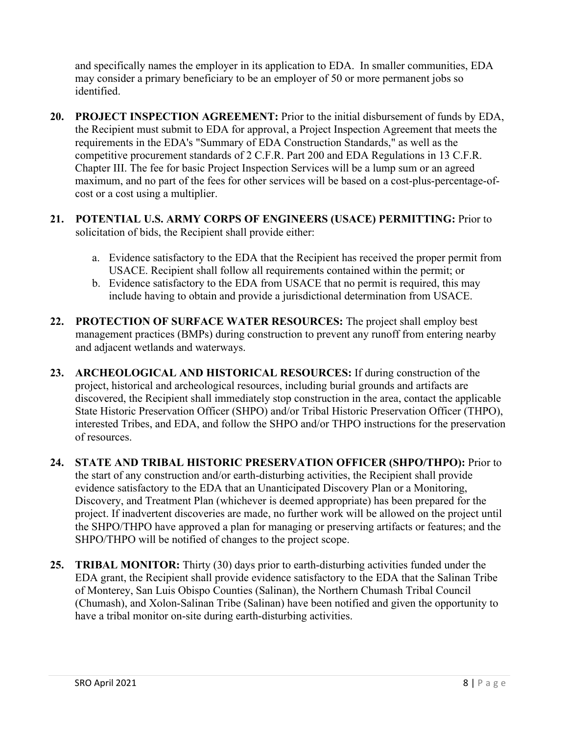and specifically names the employer in its application to EDA. In smaller communities, EDA may consider a primary beneficiary to be an employer of 50 or more permanent jobs so identified.

- **20. PROJECT INSPECTION AGREEMENT:** Prior to the initial disbursement of funds by EDA, the Recipient must submit to EDA for approval, a Project Inspection Agreement that meets the requirements in the EDA's "Summary of EDA Construction Standards," as well as the competitive procurement standards of 2 C.F.R. Part 200 and EDA Regulations in 13 C.F.R. Chapter III. The fee for basic Project Inspection Services will be a lump sum or an agreed maximum, and no part of the fees for other services will be based on a cost-plus-percentage-ofcost or a cost using a multiplier.
- **21. POTENTIAL U.S. ARMY CORPS OF ENGINEERS (USACE) PERMITTING:** Prior to solicitation of bids, the Recipient shall provide either:
	- a. Evidence satisfactory to the EDA that the Recipient has received the proper permit from USACE. Recipient shall follow all requirements contained within the permit; or
	- b. Evidence satisfactory to the EDA from USACE that no permit is required, this may include having to obtain and provide a jurisdictional determination from USACE.
- **22. PROTECTION OF SURFACE WATER RESOURCES:** The project shall employ best management practices (BMPs) during construction to prevent any runoff from entering nearby and adjacent wetlands and waterways.
- **23. ARCHEOLOGICAL AND HISTORICAL RESOURCES:** If during construction of the project, historical and archeological resources, including burial grounds and artifacts are discovered, the Recipient shall immediately stop construction in the area, contact the applicable State Historic Preservation Officer (SHPO) and/or Tribal Historic Preservation Officer (THPO), interested Tribes, and EDA, and follow the SHPO and/or THPO instructions for the preservation of resources.
- **24. STATE AND TRIBAL HISTORIC PRESERVATION OFFICER (SHPO/THPO):** Prior to the start of any construction and/or earth-disturbing activities, the Recipient shall provide evidence satisfactory to the EDA that an Unanticipated Discovery Plan or a Monitoring, Discovery, and Treatment Plan (whichever is deemed appropriate) has been prepared for the project. If inadvertent discoveries are made, no further work will be allowed on the project until the SHPO/THPO have approved a plan for managing or preserving artifacts or features; and the SHPO/THPO will be notified of changes to the project scope.
- **25. TRIBAL MONITOR:** Thirty (30) days prior to earth-disturbing activities funded under the EDA grant, the Recipient shall provide evidence satisfactory to the EDA that the Salinan Tribe of Monterey, San Luis Obispo Counties (Salinan), the Northern Chumash Tribal Council (Chumash), and Xolon-Salinan Tribe (Salinan) have been notified and given the opportunity to have a tribal monitor on-site during earth-disturbing activities.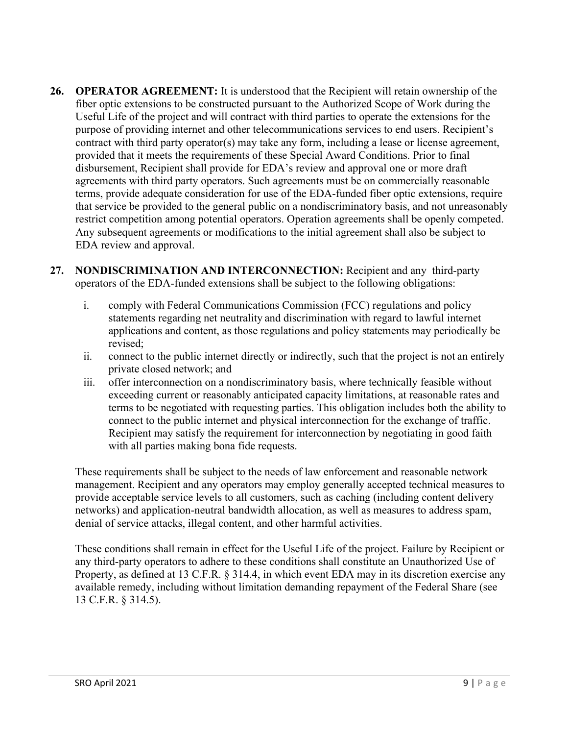- **26. OPERATOR AGREEMENT:** It is understood that the Recipient will retain ownership of the fiber optic extensions to be constructed pursuant to the Authorized Scope of Work during the Useful Life of the project and will contract with third parties to operate the extensions for the purpose of providing internet and other telecommunications services to end users. Recipient's contract with third party operator(s) may take any form, including a lease or license agreement, provided that it meets the requirements of these Special Award Conditions. Prior to final disbursement, Recipient shall provide for EDA's review and approval one or more draft agreements with third party operators. Such agreements must be on commercially reasonable terms, provide adequate consideration for use of the EDA-funded fiber optic extensions, require that service be provided to the general public on a nondiscriminatory basis, and not unreasonably restrict competition among potential operators. Operation agreements shall be openly competed. Any subsequent agreements or modifications to the initial agreement shall also be subject to EDA review and approval.
- **27. NONDISCRIMINATION AND INTERCONNECTION:** Recipient and any third-party operators of the EDA-funded extensions shall be subject to the following obligations:
	- i. comply with Federal Communications Commission (FCC) regulations and policy statements regarding net neutrality and discrimination with regard to lawful internet applications and content, as those regulations and policy statements may periodically be revised;
	- ii. connect to the public internet directly or indirectly, such that the project is not an entirely private closed network; and
	- iii. offer interconnection on a nondiscriminatory basis, where technically feasible without exceeding current or reasonably anticipated capacity limitations, at reasonable rates and terms to be negotiated with requesting parties. This obligation includes both the ability to connect to the public internet and physical interconnection for the exchange of traffic. Recipient may satisfy the requirement for interconnection by negotiating in good faith with all parties making bona fide requests.

These requirements shall be subject to the needs of law enforcement and reasonable network management. Recipient and any operators may employ generally accepted technical measures to provide acceptable service levels to all customers, such as caching (including content delivery networks) and application-neutral bandwidth allocation, as well as measures to address spam, denial of service attacks, illegal content, and other harmful activities.

These conditions shall remain in effect for the Useful Life of the project. Failure by Recipient or any third-party operators to adhere to these conditions shall constitute an Unauthorized Use of Property, as defined at 13 C.F.R. § 314.4, in which event EDA may in its discretion exercise any available remedy, including without limitation demanding repayment of the Federal Share (see 13 C.F.R. § 314.5).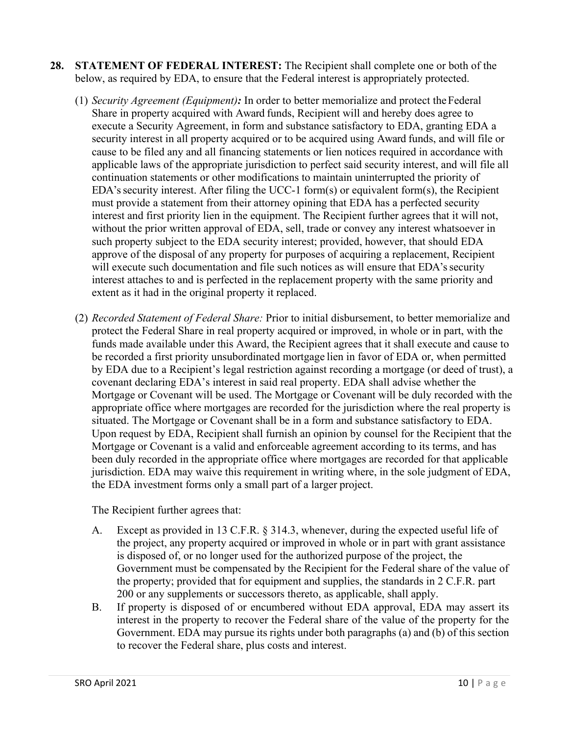- **28. STATEMENT OF FEDERAL INTEREST:** The Recipient shall complete one or both of the below, as required by EDA, to ensure that the Federal interest is appropriately protected.
	- (1) *Security Agreement (Equipment):* In order to better memorialize and protect theFederal Share in property acquired with Award funds, Recipient will and hereby does agree to execute a Security Agreement, in form and substance satisfactory to EDA, granting EDA a security interest in all property acquired or to be acquired using Award funds, and will file or cause to be filed any and all financing statements or lien notices required in accordance with applicable laws of the appropriate jurisdiction to perfect said security interest, and will file all continuation statements or other modifications to maintain uninterrupted the priority of EDA's security interest. After filing the UCC-1 form(s) or equivalent form(s), the Recipient must provide a statement from their attorney opining that EDA has a perfected security interest and first priority lien in the equipment. The Recipient further agrees that it will not, without the prior written approval of EDA, sell, trade or convey any interest whatsoever in such property subject to the EDA security interest; provided, however, that should EDA approve of the disposal of any property for purposes of acquiring a replacement, Recipient will execute such documentation and file such notices as will ensure that EDA's security interest attaches to and is perfected in the replacement property with the same priority and extent as it had in the original property it replaced.
	- (2) *Recorded Statement of Federal Share:* Prior to initial disbursement, to better memorialize and protect the Federal Share in real property acquired or improved, in whole or in part, with the funds made available under this Award, the Recipient agrees that it shall execute and cause to be recorded a first priority unsubordinated mortgage lien in favor of EDA or, when permitted by EDA due to a Recipient's legal restriction against recording a mortgage (or deed of trust), a covenant declaring EDA's interest in said real property. EDA shall advise whether the Mortgage or Covenant will be used. The Mortgage or Covenant will be duly recorded with the appropriate office where mortgages are recorded for the jurisdiction where the real property is situated. The Mortgage or Covenant shall be in a form and substance satisfactory to EDA. Upon request by EDA, Recipient shall furnish an opinion by counsel for the Recipient that the Mortgage or Covenant is a valid and enforceable agreement according to its terms, and has been duly recorded in the appropriate office where mortgages are recorded for that applicable jurisdiction. EDA may waive this requirement in writing where, in the sole judgment of EDA, the EDA investment forms only a small part of a larger project.

The Recipient further agrees that:

- A. Except as provided in 13 C.F.R. § 314.3, whenever, during the expected useful life of the project, any property acquired or improved in whole or in part with grant assistance is disposed of, or no longer used for the authorized purpose of the project, the Government must be compensated by the Recipient for the Federal share of the value of the property; provided that for equipment and supplies, the standards in 2 C.F.R. part 200 or any supplements or successors thereto, as applicable, shall apply.
- B. If property is disposed of or encumbered without EDA approval, EDA may assert its interest in the property to recover the Federal share of the value of the property for the Government. EDA may pursue its rights under both paragraphs (a) and (b) of this section to recover the Federal share, plus costs and interest.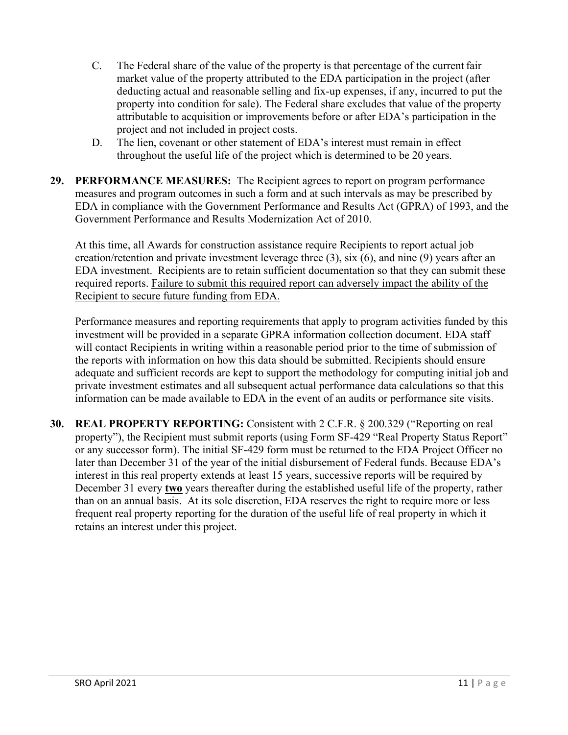- C. The Federal share of the value of the property is that percentage of the current fair market value of the property attributed to the EDA participation in the project (after deducting actual and reasonable selling and fix-up expenses, if any, incurred to put the property into condition for sale). The Federal share excludes that value of the property attributable to acquisition or improvements before or after EDA's participation in the project and not included in project costs.
- D. The lien, covenant or other statement of EDA's interest must remain in effect throughout the useful life of the project which is determined to be 20 years.
- **29. PERFORMANCE MEASURES:** The Recipient agrees to report on program performance measures and program outcomes in such a form and at such intervals as may be prescribed by EDA in compliance with the Government Performance and Results Act (GPRA) of 1993, and the Government Performance and Results Modernization Act of 2010.

At this time, all Awards for construction assistance require Recipients to report actual job creation/retention and private investment leverage three (3), six (6), and nine (9) years after an EDA investment. Recipients are to retain sufficient documentation so that they can submit these required reports. Failure to submit this required report can adversely impact the ability of the Recipient to secure future funding from EDA.

Performance measures and reporting requirements that apply to program activities funded by this investment will be provided in a separate GPRA information collection document. EDA staff will contact Recipients in writing within a reasonable period prior to the time of submission of the reports with information on how this data should be submitted. Recipients should ensure adequate and sufficient records are kept to support the methodology for computing initial job and private investment estimates and all subsequent actual performance data calculations so that this information can be made available to EDA in the event of an audits or performance site visits.

**30. REAL PROPERTY REPORTING:** Consistent with 2 C.F.R. § 200.329 ("Reporting on real property"), the Recipient must submit reports (using Form SF-429 "Real Property Status Report" or any successor form). The initial SF-429 form must be returned to the EDA Project Officer no later than December 31 of the year of the initial disbursement of Federal funds. Because EDA's interest in this real property extends at least 15 years, successive reports will be required by December 31 every **two** years thereafter during the established useful life of the property, rather than on an annual basis. At its sole discretion, EDA reserves the right to require more or less frequent real property reporting for the duration of the useful life of real property in which it retains an interest under this project.